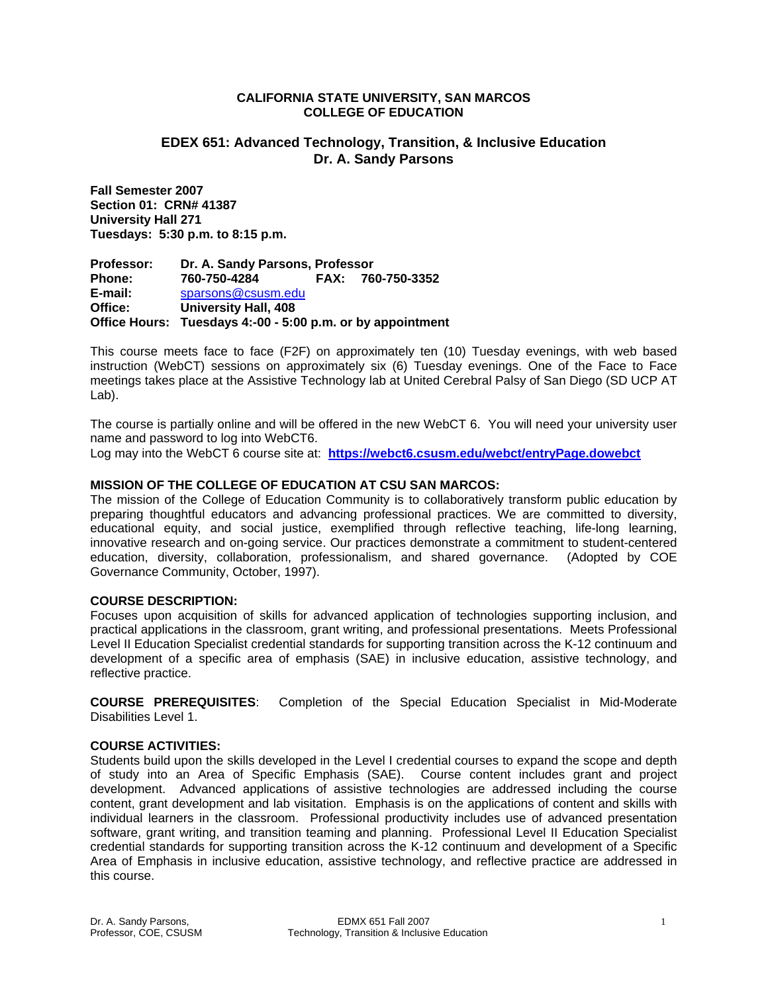#### **CALIFORNIA STATE UNIVERSITY, SAN MARCOS COLLEGE OF EDUCATION**

# **EDEX 651: Advanced Technology, Transition, & Inclusive Education Dr. A. Sandy Parsons**

**Fall Semester 2007 Section 01: CRN# 41387 University Hall 271 Tuesdays: 5:30 p.m. to 8:15 p.m.** 

**Professor: Dr. A. Sandy Parsons, Professor Phone: 760-750-4284 FAX: 760-750-3352 E-mail:** sparsons@csusm.edu **Office: University Hall, 408 Office Hours: Tuesdays 4:-00 - 5:00 p.m. or by appointment** 

This course meets face to face (F2F) on approximately ten (10) Tuesday evenings, with web based instruction (WebCT) sessions on approximately six (6) Tuesday evenings. One of the Face to Face meetings takes place at the Assistive Technology lab at United Cerebral Palsy of San Diego (SD UCP AT Lab).

The course is partially online and will be offered in the new WebCT 6. You will need your university user name and password to log into WebCT6.

Log may into the WebCT 6 course site at: **https://webct6.csusm.edu/webct/entryPage.dowebct** 

## **MISSION OF THE COLLEGE OF EDUCATION AT CSU SAN MARCOS:**

The mission of the College of Education Community is to collaboratively transform public education by preparing thoughtful educators and advancing professional practices. We are committed to diversity, educational equity, and social justice, exemplified through reflective teaching, life-long learning, innovative research and on-going service. Our practices demonstrate a commitment to student-centered education, diversity, collaboration, professionalism, and shared governance. (Adopted by COE Governance Community, October, 1997).

## **COURSE DESCRIPTION:**

Focuses upon acquisition of skills for advanced application of technologies supporting inclusion, and practical applications in the classroom, grant writing, and professional presentations. Meets Professional Level II Education Specialist credential standards for supporting transition across the K-12 continuum and development of a specific area of emphasis (SAE) in inclusive education, assistive technology, and reflective practice.

**COURSE PREREQUISITES**: Completion of the Special Education Specialist in Mid-Moderate Disabilities Level 1.

## **COURSE ACTIVITIES:**

Students build upon the skills developed in the Level I credential courses to expand the scope and depth of study into an Area of Specific Emphasis (SAE). Course content includes grant and project development. Advanced applications of assistive technologies are addressed including the course content, grant development and lab visitation. Emphasis is on the applications of content and skills with individual learners in the classroom. Professional productivity includes use of advanced presentation software, grant writing, and transition teaming and planning. Professional Level II Education Specialist credential standards for supporting transition across the K-12 continuum and development of a Specific Area of Emphasis in inclusive education, assistive technology, and reflective practice are addressed in this course.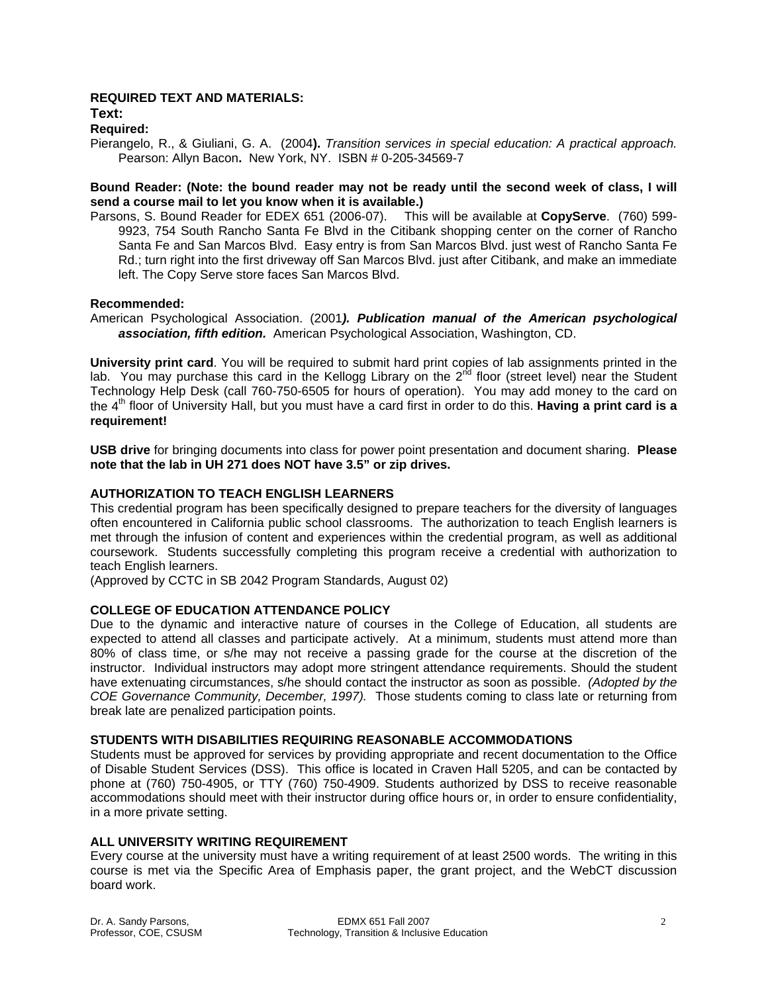# **REQUIRED TEXT AND MATERIALS:**

**Text:** 

#### **Required:**

Pierangelo, R., & Giuliani, G. A. (2004**).** *Transition services in special education: A practical approach.*  Pearson: Allyn Bacon**.** New York, NY. ISBN # 0-205-34569-7

## **Bound Reader: (Note: the bound reader may not be ready until the second week of class, I will send a course mail to let you know when it is available.)**

Parsons, S. Bound Reader for EDEX 651 (2006-07). This will be available at **CopyServe**. (760) 599- 9923, 754 South Rancho Santa Fe Blvd in the Citibank shopping center on the corner of Rancho Santa Fe and San Marcos Blvd. Easy entry is from San Marcos Blvd. just west of Rancho Santa Fe Rd.; turn right into the first driveway off San Marcos Blvd. just after Citibank, and make an immediate left. The Copy Serve store faces San Marcos Blvd.

#### **Recommended:**

American Psychological Association. (2001*). Publication manual of the American psychological association, fifth edition.* American Psychological Association, Washington, CD.

**University print card**. You will be required to submit hard print copies of lab assignments printed in the lab. You may purchase this card in the Kellogg Library on the  $2^{nd}$  floor (street level) near the Student Technology Help Desk (call 760-750-6505 for hours of operation). You may add money to the card on the 4th floor of University Hall, but you must have a card first in order to do this. **Having a print card is a requirement!**

**USB drive** for bringing documents into class for power point presentation and document sharing. **Please note that the lab in UH 271 does NOT have 3.5" or zip drives.**

## **AUTHORIZATION TO TEACH ENGLISH LEARNERS**

This credential program has been specifically designed to prepare teachers for the diversity of languages often encountered in California public school classrooms. The authorization to teach English learners is met through the infusion of content and experiences within the credential program, as well as additional coursework. Students successfully completing this program receive a credential with authorization to teach English learners.

(Approved by CCTC in SB 2042 Program Standards, August 02)

## **COLLEGE OF EDUCATION ATTENDANCE POLICY**

Due to the dynamic and interactive nature of courses in the College of Education, all students are expected to attend all classes and participate actively. At a minimum, students must attend more than 80% of class time, or s/he may not receive a passing grade for the course at the discretion of the instructor. Individual instructors may adopt more stringent attendance requirements. Should the student have extenuating circumstances, s/he should contact the instructor as soon as possible. *(Adopted by the COE Governance Community, December, 1997).* Those students coming to class late or returning from break late are penalized participation points.

## **STUDENTS WITH DISABILITIES REQUIRING REASONABLE ACCOMMODATIONS**

Students must be approved for services by providing appropriate and recent documentation to the Office of Disable Student Services (DSS). This office is located in Craven Hall 5205, and can be contacted by phone at (760) 750-4905, or TTY (760) 750-4909. Students authorized by DSS to receive reasonable accommodations should meet with their instructor during office hours or, in order to ensure confidentiality, in a more private setting.

## **ALL UNIVERSITY WRITING REQUIREMENT**

Every course at the university must have a writing requirement of at least 2500 words. The writing in this course is met via the Specific Area of Emphasis paper, the grant project, and the WebCT discussion board work.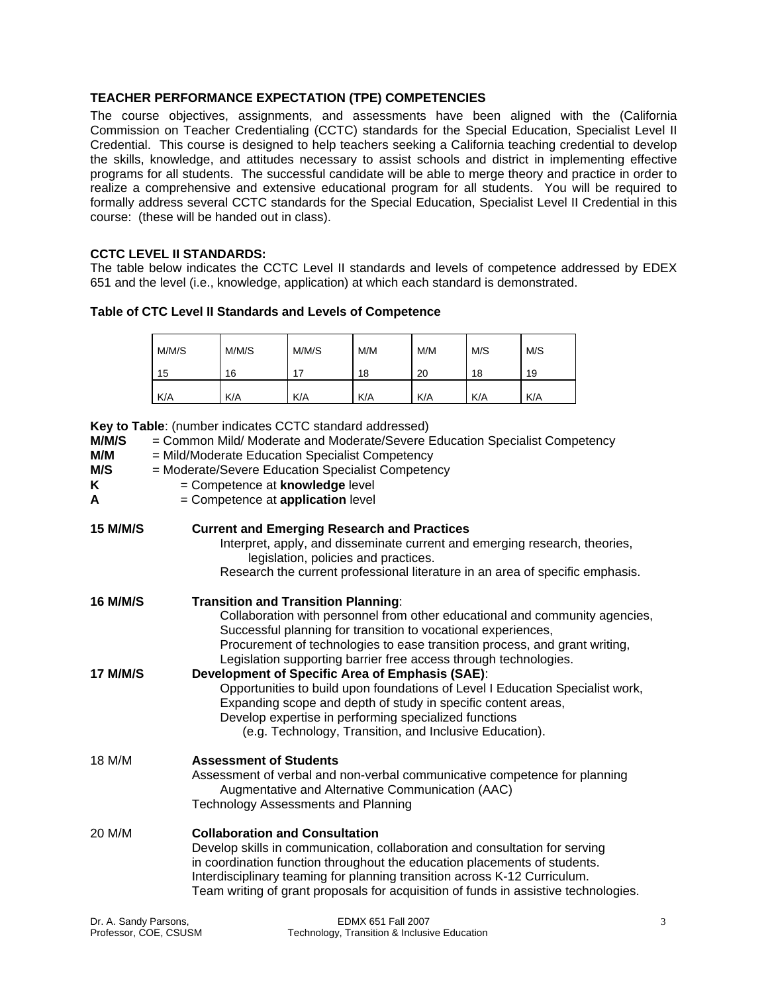# **TEACHER PERFORMANCE EXPECTATION (TPE) COMPETENCIES**

The course objectives, assignments, and assessments have been aligned with the (California Commission on Teacher Credentialing (CCTC) standards for the Special Education, Specialist Level II Credential. This course is designed to help teachers seeking a California teaching credential to develop the skills, knowledge, and attitudes necessary to assist schools and district in implementing effective programs for all students. The successful candidate will be able to merge theory and practice in order to realize a comprehensive and extensive educational program for all students. You will be required to formally address several CCTC standards for the Special Education, Specialist Level II Credential in this course: (these will be handed out in class).

## **CCTC LEVEL II STANDARDS:**

The table below indicates the CCTC Level II standards and levels of competence addressed by EDEX 651 and the level (i.e., knowledge, application) at which each standard is demonstrated.

## **Table of CTC Level II Standards and Levels of Competence**

| M/M/S | M/M/S | M/M/S | M/M | M/M | M/S | M/S |
|-------|-------|-------|-----|-----|-----|-----|
| 15    | 16    | 17    | 18  | 20  | 18  | 19  |
| K/A   | K/A   | K/A   | K/A | K/A | K/A | K/A |

**Key to Table**: (number indicates CCTC standard addressed)

| M/M/S<br>M/M<br>M/S<br>K<br>A | = Common Mild/ Moderate and Moderate/Severe Education Specialist Competency<br>= Mild/Moderate Education Specialist Competency<br>= Moderate/Severe Education Specialist Competency<br>= Competence at knowledge level<br>= Competence at application level                                                                                                           |
|-------------------------------|-----------------------------------------------------------------------------------------------------------------------------------------------------------------------------------------------------------------------------------------------------------------------------------------------------------------------------------------------------------------------|
| <b>15 M/M/S</b>               | <b>Current and Emerging Research and Practices</b><br>Interpret, apply, and disseminate current and emerging research, theories,<br>legislation, policies and practices.<br>Research the current professional literature in an area of specific emphasis.                                                                                                             |
| 16 M/M/S                      | <b>Transition and Transition Planning:</b><br>Collaboration with personnel from other educational and community agencies,<br>Successful planning for transition to vocational experiences,<br>Procurement of technologies to ease transition process, and grant writing,<br>Legislation supporting barrier free access through technologies.                          |
| <b>17 M/M/S</b>               | <b>Development of Specific Area of Emphasis (SAE):</b><br>Opportunities to build upon foundations of Level I Education Specialist work,<br>Expanding scope and depth of study in specific content areas,<br>Develop expertise in performing specialized functions<br>(e.g. Technology, Transition, and Inclusive Education).                                          |
| 18 M/M                        | <b>Assessment of Students</b><br>Assessment of verbal and non-verbal communicative competence for planning<br>Augmentative and Alternative Communication (AAC)<br><b>Technology Assessments and Planning</b>                                                                                                                                                          |
| 20 M/M                        | <b>Collaboration and Consultation</b><br>Develop skills in communication, collaboration and consultation for serving<br>in coordination function throughout the education placements of students.<br>Interdisciplinary teaming for planning transition across K-12 Curriculum.<br>Team writing of grant proposals for acquisition of funds in assistive technologies. |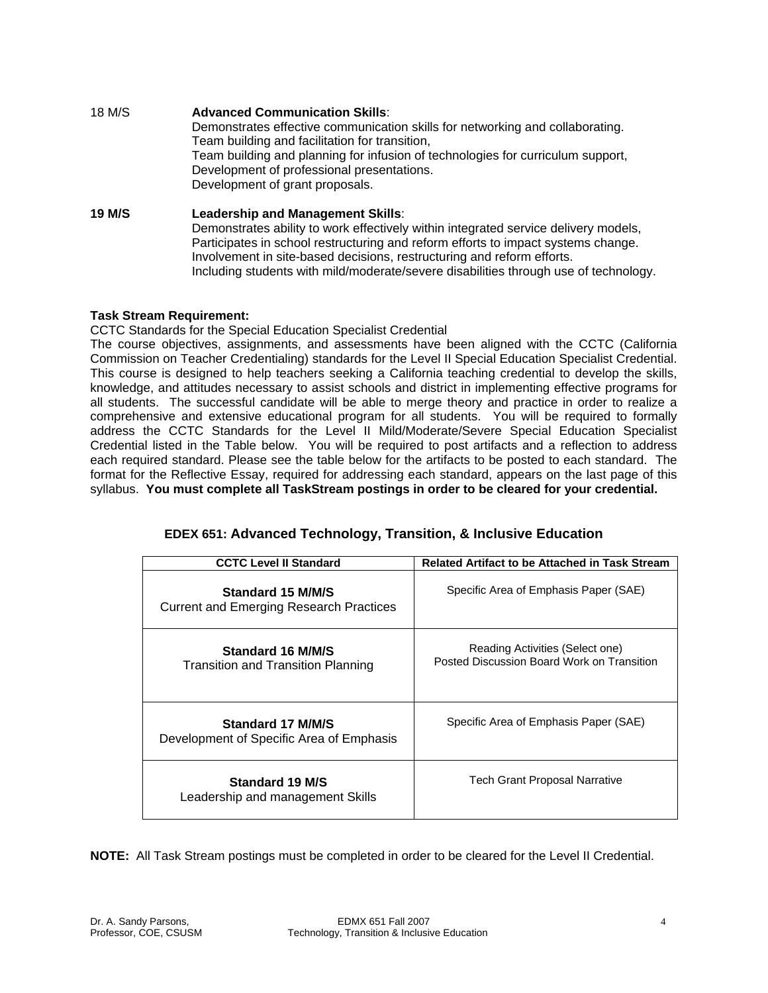| 18 M/S        | <b>Advanced Communication Skills:</b><br>Demonstrates effective communication skills for networking and collaborating.<br>Team building and facilitation for transition,<br>Team building and planning for infusion of technologies for curriculum support,<br>Development of professional presentations.<br>Development of grant proposals.                                    |
|---------------|---------------------------------------------------------------------------------------------------------------------------------------------------------------------------------------------------------------------------------------------------------------------------------------------------------------------------------------------------------------------------------|
| <b>19 M/S</b> | Leadership and Management Skills:<br>Demonstrates ability to work effectively within integrated service delivery models,<br>Participates in school restructuring and reform efforts to impact systems change.<br>Involvement in site-based decisions, restructuring and reform efforts.<br>Including students with mild/moderate/severe disabilities through use of technology. |

## **Task Stream Requirement:**

CCTC Standards for the Special Education Specialist Credential

The course objectives, assignments, and assessments have been aligned with the CCTC (California Commission on Teacher Credentialing) standards for the Level II Special Education Specialist Credential. This course is designed to help teachers seeking a California teaching credential to develop the skills, knowledge, and attitudes necessary to assist schools and district in implementing effective programs for all students. The successful candidate will be able to merge theory and practice in order to realize a comprehensive and extensive educational program for all students. You will be required to formally address the CCTC Standards for the Level II Mild/Moderate/Severe Special Education Specialist Credential listed in the Table below. You will be required to post artifacts and a reflection to address each required standard. Please see the table below for the artifacts to be posted to each standard. The format for the Reflective Essay, required for addressing each standard, appears on the last page of this syllabus. **You must complete all TaskStream postings in order to be cleared for your credential.**

| <b>CCTC Level II Standard</b>                                       | <b>Related Artifact to be Attached in Task Stream</b>                         |  |  |
|---------------------------------------------------------------------|-------------------------------------------------------------------------------|--|--|
| Standard 15 M/M/S<br><b>Current and Emerging Research Practices</b> | Specific Area of Emphasis Paper (SAE)                                         |  |  |
| Standard 16 M/M/S<br><b>Transition and Transition Planning</b>      | Reading Activities (Select one)<br>Posted Discussion Board Work on Transition |  |  |
| Standard 17 M/M/S<br>Development of Specific Area of Emphasis       | Specific Area of Emphasis Paper (SAE)                                         |  |  |
| Standard 19 M/S<br>Leadership and management Skills                 | Tech Grant Proposal Narrative                                                 |  |  |

# **EDEX 651: Advanced Technology, Transition, & Inclusive Education**

**NOTE:** All Task Stream postings must be completed in order to be cleared for the Level II Credential.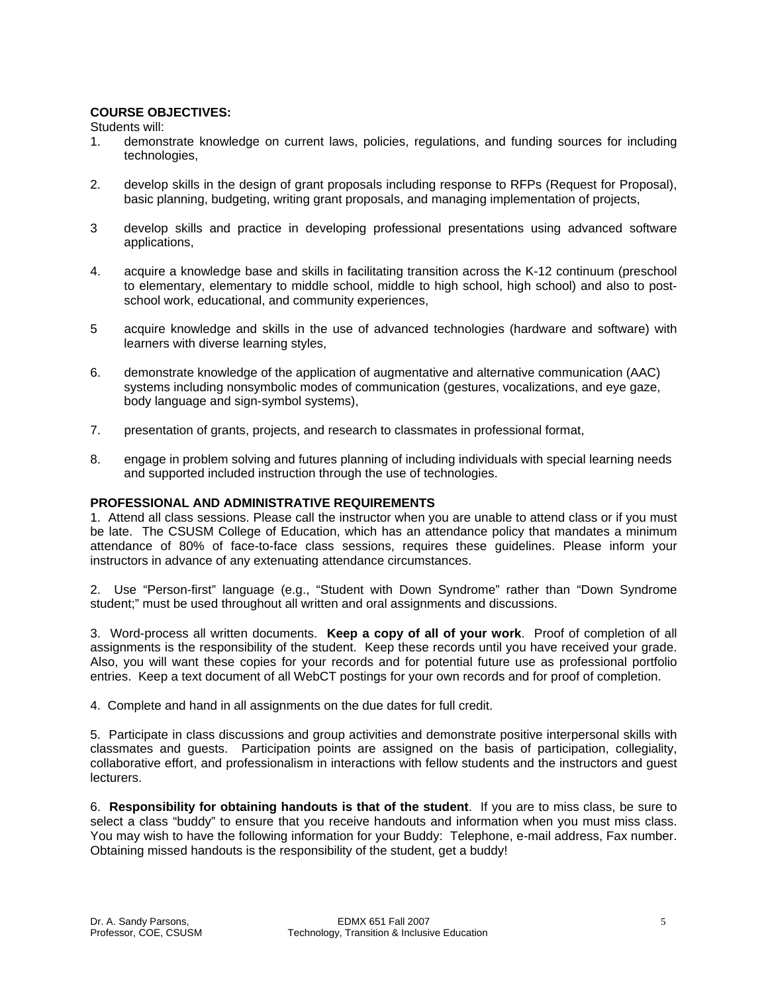# **COURSE OBJECTIVES:**

Students will:

- 1. demonstrate knowledge on current laws, policies, regulations, and funding sources for including technologies,
- 2. develop skills in the design of grant proposals including response to RFPs (Request for Proposal), basic planning, budgeting, writing grant proposals, and managing implementation of projects,
- 3 develop skills and practice in developing professional presentations using advanced software applications,
- 4. acquire a knowledge base and skills in facilitating transition across the K-12 continuum (preschool to elementary, elementary to middle school, middle to high school, high school) and also to postschool work, educational, and community experiences,
- 5 acquire knowledge and skills in the use of advanced technologies (hardware and software) with learners with diverse learning styles,
- 6. demonstrate knowledge of the application of augmentative and alternative communication (AAC) systems including nonsymbolic modes of communication (gestures, vocalizations, and eye gaze, body language and sign-symbol systems),
- 7. presentation of grants, projects, and research to classmates in professional format,
- 8. engage in problem solving and futures planning of including individuals with special learning needs and supported included instruction through the use of technologies.

## **PROFESSIONAL AND ADMINISTRATIVE REQUIREMENTS**

1. Attend all class sessions. Please call the instructor when you are unable to attend class or if you must be late. The CSUSM College of Education, which has an attendance policy that mandates a minimum attendance of 80% of face-to-face class sessions, requires these guidelines. Please inform your instructors in advance of any extenuating attendance circumstances.

2. Use "Person-first" language (e.g., "Student with Down Syndrome" rather than "Down Syndrome student;" must be used throughout all written and oral assignments and discussions.

3. Word-process all written documents. **Keep a copy of all of your work**. Proof of completion of all assignments is the responsibility of the student. Keep these records until you have received your grade. Also, you will want these copies for your records and for potential future use as professional portfolio entries. Keep a text document of all WebCT postings for your own records and for proof of completion.

4. Complete and hand in all assignments on the due dates for full credit.

5. Participate in class discussions and group activities and demonstrate positive interpersonal skills with classmates and guests. Participation points are assigned on the basis of participation, collegiality, collaborative effort, and professionalism in interactions with fellow students and the instructors and guest lecturers.

6. **Responsibility for obtaining handouts is that of the student**. If you are to miss class, be sure to select a class "buddy" to ensure that you receive handouts and information when you must miss class. You may wish to have the following information for your Buddy: Telephone, e-mail address, Fax number. Obtaining missed handouts is the responsibility of the student, get a buddy!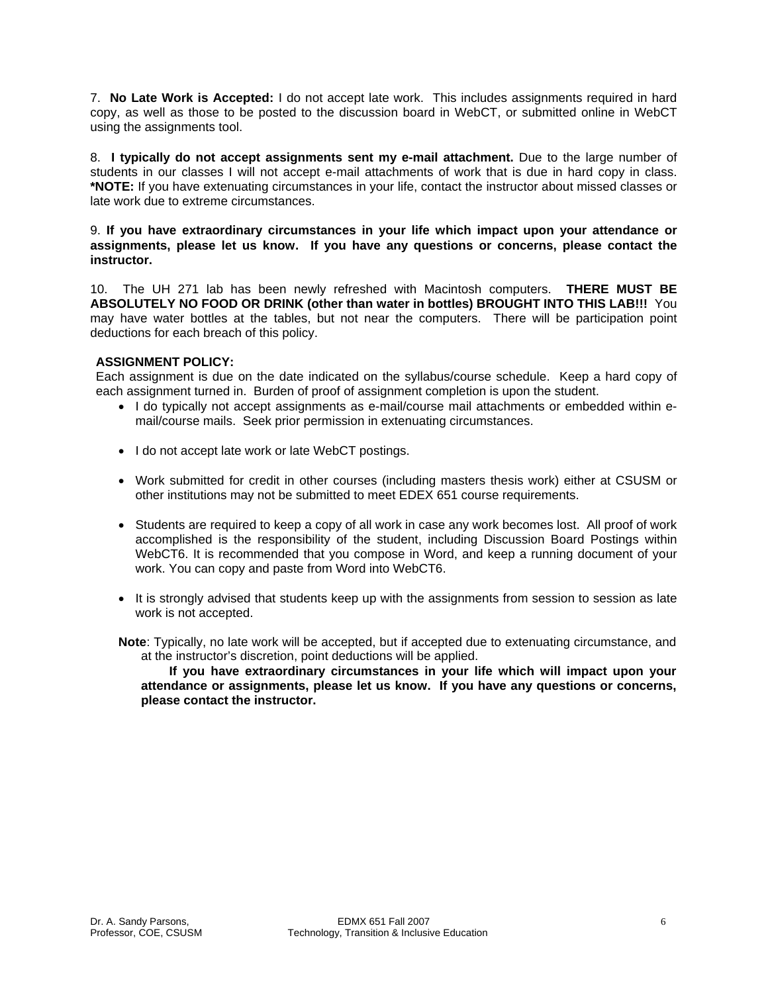7. **No Late Work is Accepted:** I do not accept late work. This includes assignments required in hard copy, as well as those to be posted to the discussion board in WebCT, or submitted online in WebCT using the assignments tool.

8. **I typically do not accept assignments sent my e-mail attachment.** Due to the large number of students in our classes I will not accept e-mail attachments of work that is due in hard copy in class. **\*NOTE:** If you have extenuating circumstances in your life, contact the instructor about missed classes or late work due to extreme circumstances.

9. **If you have extraordinary circumstances in your life which impact upon your attendance or assignments, please let us know. If you have any questions or concerns, please contact the instructor.** 

10. The UH 271 lab has been newly refreshed with Macintosh computers. **THERE MUST BE ABSOLUTELY NO FOOD OR DRINK (other than water in bottles) BROUGHT INTO THIS LAB!!!** You may have water bottles at the tables, but not near the computers. There will be participation point deductions for each breach of this policy.

# **ASSIGNMENT POLICY:**

Each assignment is due on the date indicated on the syllabus/course schedule. Keep a hard copy of each assignment turned in. Burden of proof of assignment completion is upon the student.

- I do typically not accept assignments as e-mail/course mail attachments or embedded within email/course mails. Seek prior permission in extenuating circumstances.
- I do not accept late work or late WebCT postings.
- Work submitted for credit in other courses (including masters thesis work) either at CSUSM or other institutions may not be submitted to meet EDEX 651 course requirements.
- Students are required to keep a copy of all work in case any work becomes lost. All proof of work accomplished is the responsibility of the student, including Discussion Board Postings within WebCT6. It is recommended that you compose in Word, and keep a running document of your work. You can copy and paste from Word into WebCT6.
- It is strongly advised that students keep up with the assignments from session to session as late work is not accepted.
- **Note**: Typically, no late work will be accepted, but if accepted due to extenuating circumstance, and at the instructor's discretion, point deductions will be applied.

 **If you have extraordinary circumstances in your life which will impact upon your attendance or assignments, please let us know. If you have any questions or concerns, please contact the instructor.**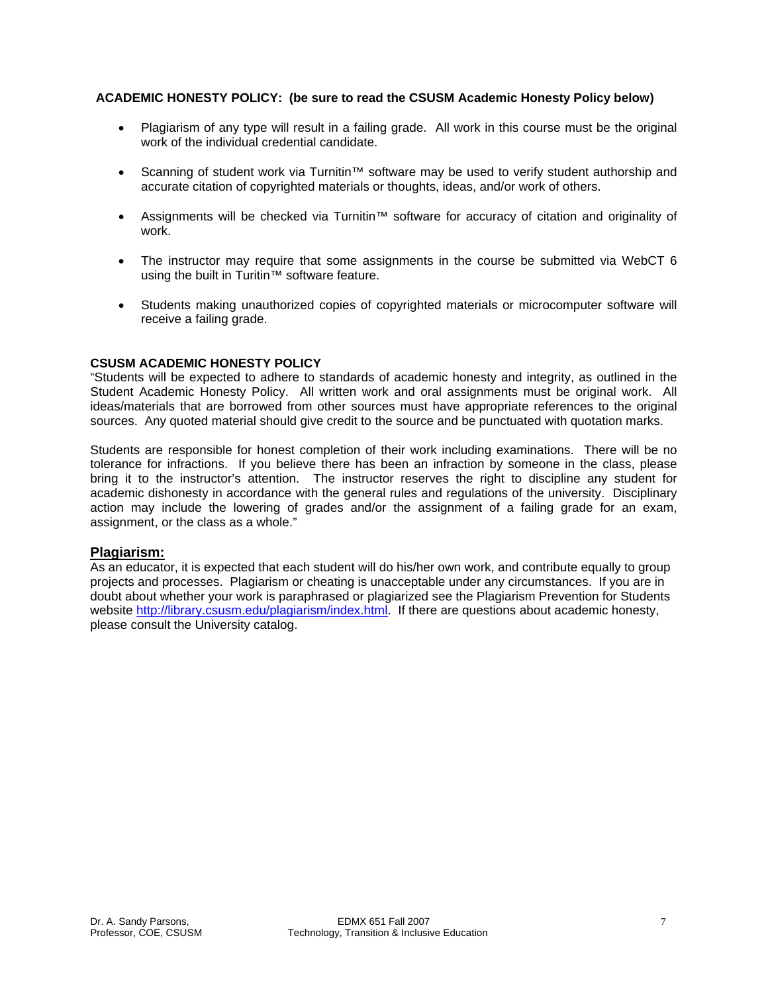# **ACADEMIC HONESTY POLICY: (be sure to read the CSUSM Academic Honesty Policy below)**

- Plagiarism of any type will result in a failing grade. All work in this course must be the original work of the individual credential candidate.
- Scanning of student work via Turnitin™ software may be used to verify student authorship and accurate citation of copyrighted materials or thoughts, ideas, and/or work of others.
- Assignments will be checked via Turnitin™ software for accuracy of citation and originality of work.
- The instructor may require that some assignments in the course be submitted via WebCT 6 using the built in Turitin™ software feature.
- Students making unauthorized copies of copyrighted materials or microcomputer software will receive a failing grade.

# **CSUSM ACADEMIC HONESTY POLICY**

"Students will be expected to adhere to standards of academic honesty and integrity, as outlined in the Student Academic Honesty Policy. All written work and oral assignments must be original work. All ideas/materials that are borrowed from other sources must have appropriate references to the original sources. Any quoted material should give credit to the source and be punctuated with quotation marks.

Students are responsible for honest completion of their work including examinations. There will be no tolerance for infractions. If you believe there has been an infraction by someone in the class, please bring it to the instructor's attention. The instructor reserves the right to discipline any student for academic dishonesty in accordance with the general rules and regulations of the university. Disciplinary action may include the lowering of grades and/or the assignment of a failing grade for an exam, assignment, or the class as a whole."

# **Plagiarism:**

As an educator, it is expected that each student will do his/her own work, and contribute equally to group projects and processes. Plagiarism or cheating is unacceptable under any circumstances. If you are in doubt about whether your work is paraphrased or plagiarized see the Plagiarism Prevention for Students website http://library.csusm.edu/plagiarism/index.html. If there are questions about academic honesty, please consult the University catalog.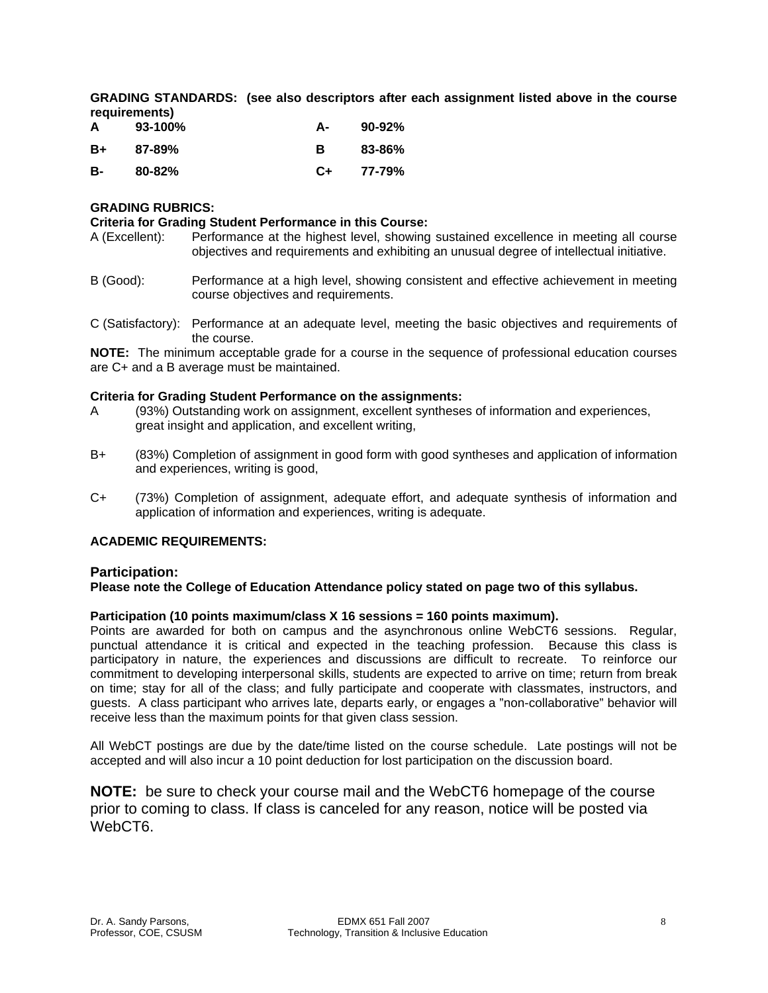**GRADING STANDARDS: (see also descriptors after each assignment listed above in the course requirements)** 

| A  | $93-100\%$ | А- | 90-92% |
|----|------------|----|--------|
| B+ | 87-89%     | в  | 83-86% |
| B- | $80 - 82%$ | C+ | 77-79% |

## **GRADING RUBRICS:**

#### **Criteria for Grading Student Performance in this Course:**

- A (Excellent): Performance at the highest level, showing sustained excellence in meeting all course objectives and requirements and exhibiting an unusual degree of intellectual initiative.
- B (Good): Performance at a high level, showing consistent and effective achievement in meeting course objectives and requirements.
- C (Satisfactory): Performance at an adequate level, meeting the basic objectives and requirements of the course.

**NOTE:** The minimum acceptable grade for a course in the sequence of professional education courses are C+ and a B average must be maintained.

#### **Criteria for Grading Student Performance on the assignments:**

- A (93%) Outstanding work on assignment, excellent syntheses of information and experiences, great insight and application, and excellent writing,
- B+ (83%) Completion of assignment in good form with good syntheses and application of information and experiences, writing is good,
- C+ (73%) Completion of assignment, adequate effort, and adequate synthesis of information and application of information and experiences, writing is adequate.

## **ACADEMIC REQUIREMENTS:**

## **Participation:**

**Please note the College of Education Attendance policy stated on page two of this syllabus.** 

## **Participation (10 points maximum/class X 16 sessions = 160 points maximum).**

Points are awarded for both on campus and the asynchronous online WebCT6 sessions. Regular, punctual attendance it is critical and expected in the teaching profession. Because this class is participatory in nature, the experiences and discussions are difficult to recreate. To reinforce our commitment to developing interpersonal skills, students are expected to arrive on time; return from break on time; stay for all of the class; and fully participate and cooperate with classmates, instructors, and guests. A class participant who arrives late, departs early, or engages a "non-collaborative" behavior will receive less than the maximum points for that given class session.

All WebCT postings are due by the date/time listed on the course schedule. Late postings will not be accepted and will also incur a 10 point deduction for lost participation on the discussion board.

**NOTE:** be sure to check your course mail and the WebCT6 homepage of the course prior to coming to class. If class is canceled for any reason, notice will be posted via WebCT6.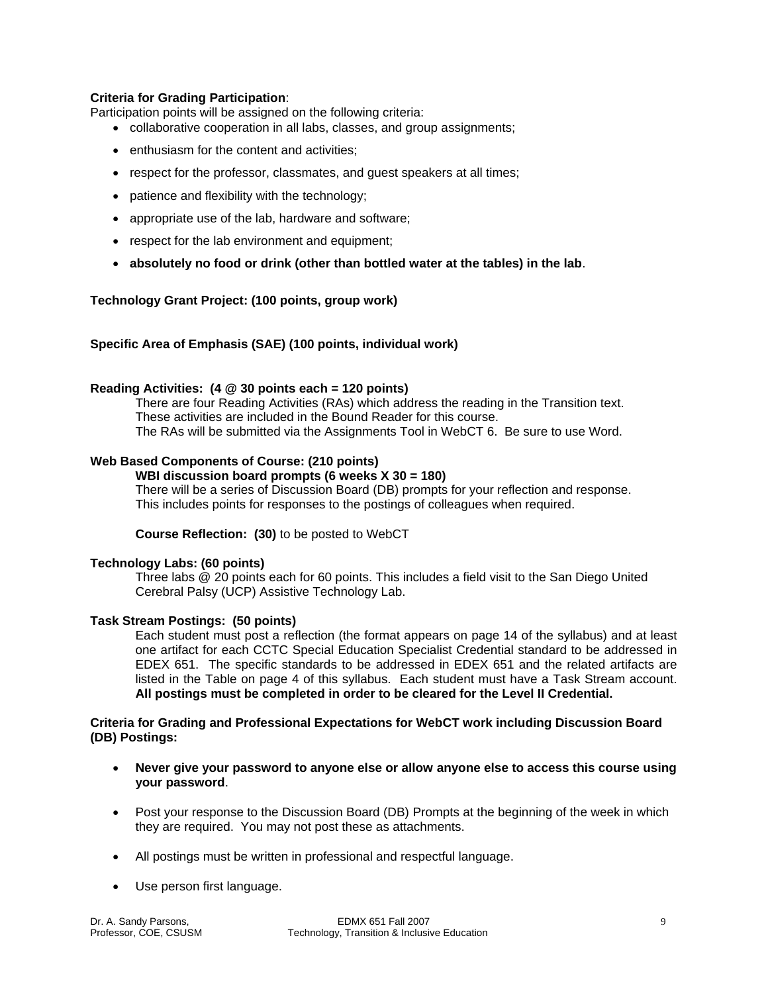## **Criteria for Grading Participation**:

Participation points will be assigned on the following criteria:

- collaborative cooperation in all labs, classes, and group assignments;
- enthusiasm for the content and activities;
- respect for the professor, classmates, and guest speakers at all times;
- patience and flexibility with the technology;
- appropriate use of the lab, hardware and software;
- respect for the lab environment and equipment;
- **absolutely no food or drink (other than bottled water at the tables) in the lab**.

#### **Technology Grant Project: (100 points, group work)**

#### **Specific Area of Emphasis (SAE) (100 points, individual work)**

#### **Reading Activities: (4 @ 30 points each = 120 points)**

 There are four Reading Activities (RAs) which address the reading in the Transition text. These activities are included in the Bound Reader for this course.<br>The RAs will be submitted via the Assignments Tool in WebCT 6. Be sure to use Word.

## **Web Based Components of Course: (210 points)**

## **WBI discussion board prompts (6 weeks X 30 = 180)**

 There will be a series of Discussion Board (DB) prompts for your reflection and response. This includes points for responses to the postings of colleagues when required.

 **Course Reflection: (30)** to be posted to WebCT

#### **Technology Labs: (60 points)**

 Three labs @ 20 points each for 60 points. This includes a field visit to the San Diego United Cerebral Palsy (UCP) Assistive Technology Lab.

#### **Task Stream Postings: (50 points)**

Each student must post a reflection (the format appears on page 14 of the syllabus) and at least one artifact for each CCTC Special Education Specialist Credential standard to be addressed in EDEX 651. The specific standards to be addressed in EDEX 651 and the related artifacts are listed in the Table on page 4 of this syllabus. Each student must have a Task Stream account. **All postings must be completed in order to be cleared for the Level II Credential.**

## **Criteria for Grading and Professional Expectations for WebCT work including Discussion Board (DB) Postings:**

- **Never give your password to anyone else or allow anyone else to access this course using your password**.
- Post your response to the Discussion Board (DB) Prompts at the beginning of the week in which they are required. You may not post these as attachments.
- All postings must be written in professional and respectful language.
- Use person first language.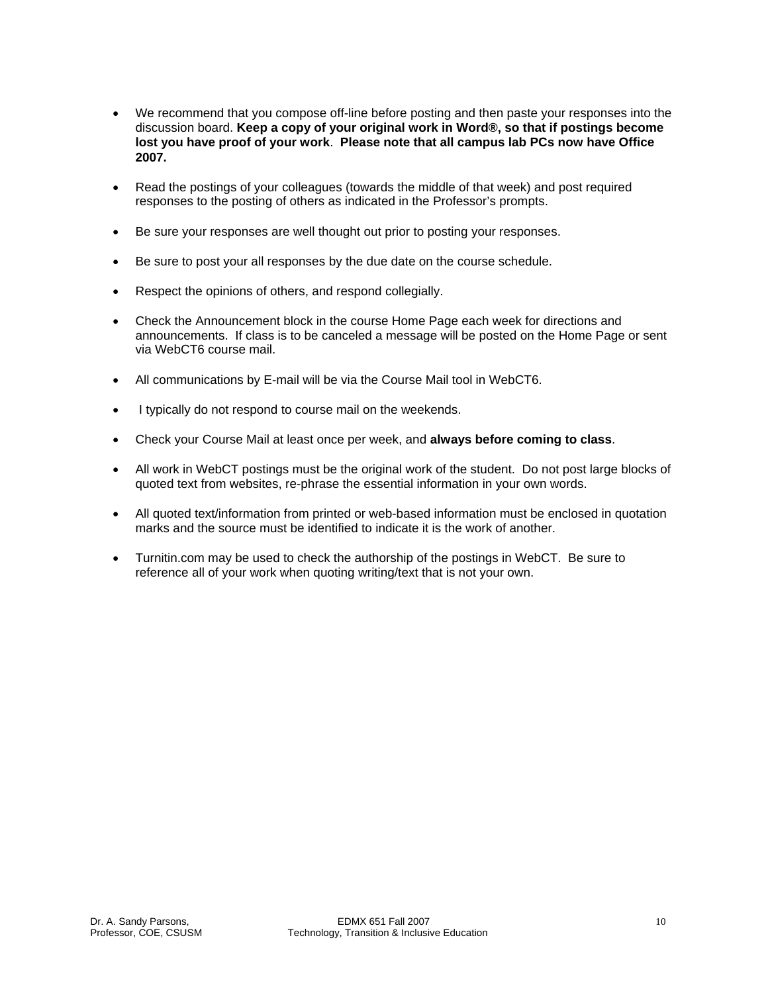- We recommend that you compose off-line before posting and then paste your responses into the discussion board. **Keep a copy of your original work in Word®, so that if postings become lost you have proof of your work**. **Please note that all campus lab PCs now have Office 2007.**
- Read the postings of your colleagues (towards the middle of that week) and post required responses to the posting of others as indicated in the Professor's prompts.
- Be sure your responses are well thought out prior to posting your responses.
- Be sure to post your all responses by the due date on the course schedule.
- Respect the opinions of others, and respond collegially.
- Check the Announcement block in the course Home Page each week for directions and announcements. If class is to be canceled a message will be posted on the Home Page or sent via WebCT6 course mail.
- All communications by E-mail will be via the Course Mail tool in WebCT6.
- I typically do not respond to course mail on the weekends.
- Check your Course Mail at least once per week, and **always before coming to class**.
- All work in WebCT postings must be the original work of the student. Do not post large blocks of quoted text from websites, re-phrase the essential information in your own words.
- All quoted text/information from printed or web-based information must be enclosed in quotation marks and the source must be identified to indicate it is the work of another.
- Turnitin.com may be used to check the authorship of the postings in WebCT. Be sure to reference all of your work when quoting writing/text that is not your own.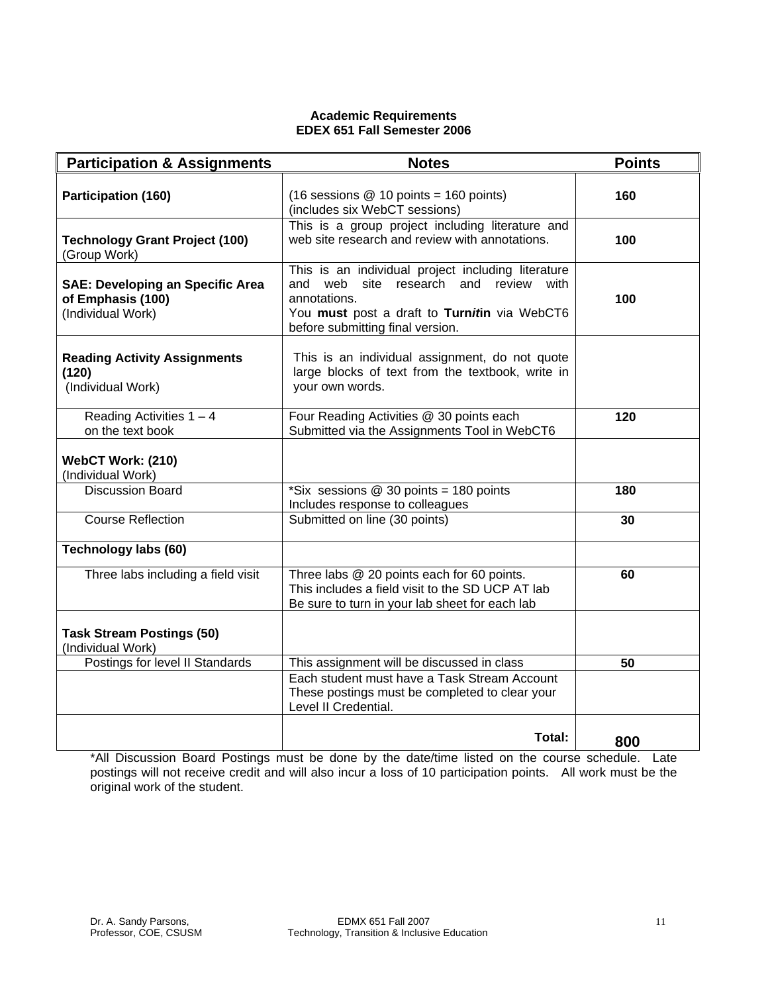## **Academic Requirements EDEX 651 Fall Semester 2006**

| <b>Participation &amp; Assignments</b>                                            | <b>Notes</b>                                                                                                                                                                                       | <b>Points</b> |
|-----------------------------------------------------------------------------------|----------------------------------------------------------------------------------------------------------------------------------------------------------------------------------------------------|---------------|
| <b>Participation (160)</b>                                                        | (16 sessions $@$ 10 points = 160 points)<br>(includes six WebCT sessions)                                                                                                                          | 160           |
| <b>Technology Grant Project (100)</b><br>(Group Work)                             | This is a group project including literature and<br>web site research and review with annotations.                                                                                                 | 100           |
| <b>SAE: Developing an Specific Area</b><br>of Emphasis (100)<br>(Individual Work) | This is an individual project including literature<br>and web<br>site research and review with<br>annotations.<br>You must post a draft to Turnitin via WebCT6<br>before submitting final version. | 100           |
| <b>Reading Activity Assignments</b><br>(120)<br>(Individual Work)                 | This is an individual assignment, do not quote<br>large blocks of text from the textbook, write in<br>your own words.                                                                              |               |
| Reading Activities $1 - 4$<br>on the text book                                    | Four Reading Activities @ 30 points each<br>Submitted via the Assignments Tool in WebCT6                                                                                                           | 120           |
| WebCT Work: (210)<br>(Individual Work)                                            |                                                                                                                                                                                                    |               |
| <b>Discussion Board</b>                                                           | *Six sessions $@$ 30 points = 180 points<br>Includes response to colleagues                                                                                                                        | 180           |
| <b>Course Reflection</b>                                                          | Submitted on line (30 points)                                                                                                                                                                      | 30            |
| <b>Technology labs (60)</b>                                                       |                                                                                                                                                                                                    |               |
| Three labs including a field visit                                                | Three labs @ 20 points each for 60 points.<br>This includes a field visit to the SD UCP AT lab<br>Be sure to turn in your lab sheet for each lab                                                   | 60            |
| <b>Task Stream Postings (50)</b><br>(Individual Work)                             |                                                                                                                                                                                                    |               |
| Postings for level II Standards                                                   | This assignment will be discussed in class                                                                                                                                                         | 50            |
|                                                                                   | Each student must have a Task Stream Account<br>These postings must be completed to clear your<br>Level II Credential.                                                                             |               |
|                                                                                   | Total:                                                                                                                                                                                             | 800           |

\*All Discussion Board Postings must be done by the date/time listed on the course schedule. Late postings will not receive credit and will also incur a loss of 10 participation points. All work must be the original work of the student.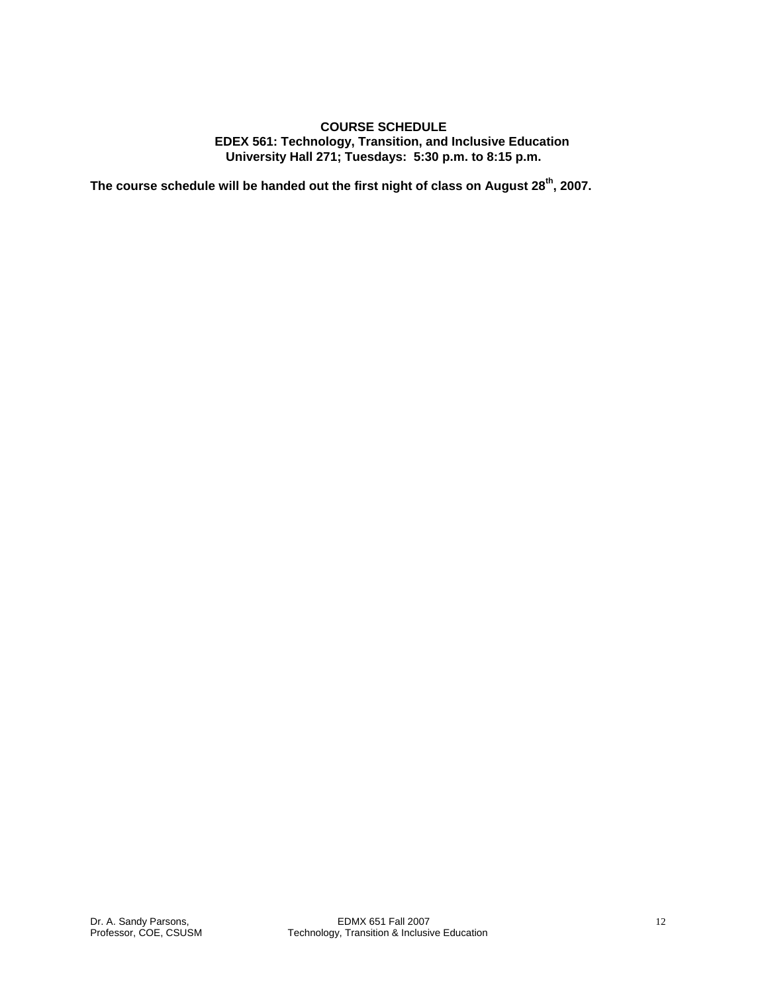## **COURSE SCHEDULE EDEX 561: Technology, Transition, and Inclusive Education University Hall 271; Tuesdays: 5:30 p.m. to 8:15 p.m.**

**The course schedule will be handed out the first night of class on August 28th, 2007.**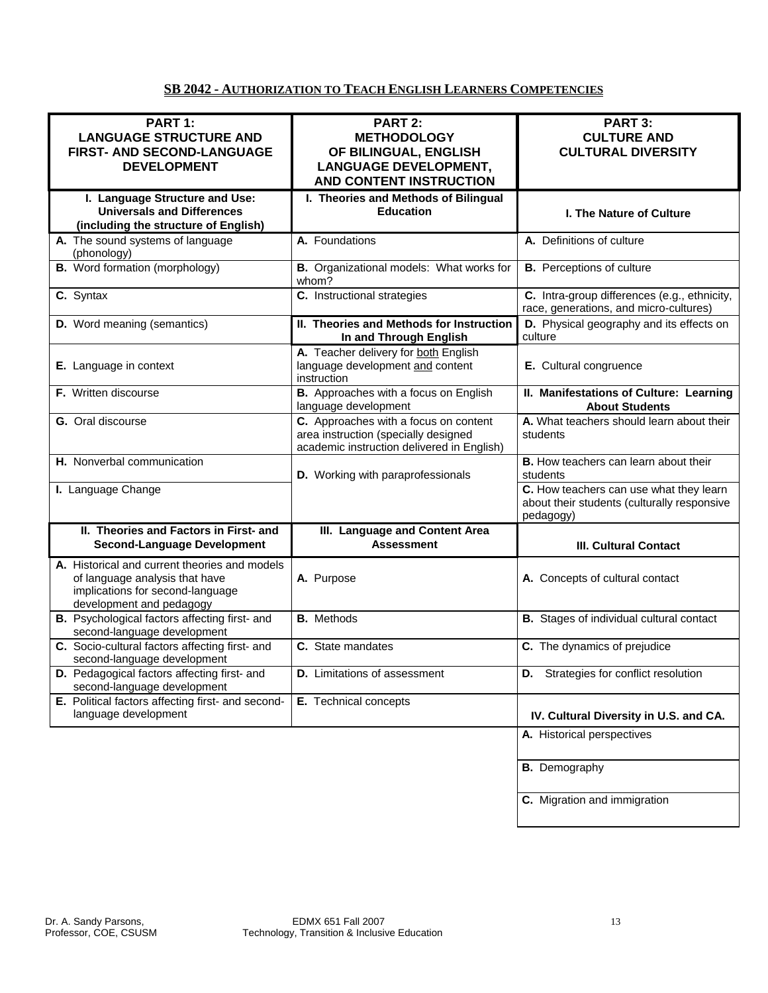# **SB 2042 - AUTHORIZATION TO TEACH ENGLISH LEARNERS COMPETENCIES**

| PART 1:<br><b>LANGUAGE STRUCTURE AND</b><br>FIRST- AND SECOND-LANGUAGE<br><b>DEVELOPMENT</b>                                                    | PART 2:<br><b>METHODOLOGY</b><br>OF BILINGUAL, ENGLISH<br><b>LANGUAGE DEVELOPMENT,</b><br><b>AND CONTENT INSTRUCTION</b>    | PART 3:<br><b>CULTURE AND</b><br><b>CULTURAL DIVERSITY</b>                                          |  |
|-------------------------------------------------------------------------------------------------------------------------------------------------|-----------------------------------------------------------------------------------------------------------------------------|-----------------------------------------------------------------------------------------------------|--|
| I. Language Structure and Use:<br><b>Universals and Differences</b><br>(including the structure of English)                                     | I. Theories and Methods of Bilingual<br><b>Education</b>                                                                    | <b>I. The Nature of Culture</b>                                                                     |  |
| A. The sound systems of language<br>(phonology)                                                                                                 | A. Foundations                                                                                                              | A. Definitions of culture                                                                           |  |
| <b>B.</b> Word formation (morphology)                                                                                                           | B. Organizational models: What works for<br>whom?                                                                           | <b>B.</b> Perceptions of culture                                                                    |  |
| C. Syntax                                                                                                                                       | C. Instructional strategies                                                                                                 | C. Intra-group differences (e.g., ethnicity,<br>race, generations, and micro-cultures)              |  |
| D. Word meaning (semantics)                                                                                                                     | II. Theories and Methods for Instruction<br>In and Through English                                                          | D. Physical geography and its effects on<br>culture                                                 |  |
| E. Language in context                                                                                                                          | A. Teacher delivery for both English<br>language development and content<br>instruction                                     | E. Cultural congruence                                                                              |  |
| F. Written discourse                                                                                                                            | <b>B.</b> Approaches with a focus on English<br>language development                                                        | II. Manifestations of Culture: Learning<br><b>About Students</b>                                    |  |
| G. Oral discourse                                                                                                                               | C. Approaches with a focus on content<br>area instruction (specially designed<br>academic instruction delivered in English) | A. What teachers should learn about their<br>students                                               |  |
| H. Nonverbal communication                                                                                                                      | D. Working with paraprofessionals                                                                                           | <b>B.</b> How teachers can learn about their<br>students                                            |  |
| I. Language Change                                                                                                                              |                                                                                                                             | C. How teachers can use what they learn<br>about their students (culturally responsive<br>pedagogy) |  |
| II. Theories and Factors in First- and<br><b>Second-Language Development</b>                                                                    | III. Language and Content Area<br><b>Assessment</b>                                                                         | <b>III. Cultural Contact</b>                                                                        |  |
| A. Historical and current theories and models<br>of language analysis that have<br>implications for second-language<br>development and pedagogy | A. Purpose                                                                                                                  | A. Concepts of cultural contact                                                                     |  |
| B. Psychological factors affecting first- and<br>second-language development                                                                    | <b>B.</b> Methods                                                                                                           | <b>B.</b> Stages of individual cultural contact                                                     |  |
| C. Socio-cultural factors affecting first- and<br>second-language development                                                                   | C. State mandates                                                                                                           | C. The dynamics of prejudice                                                                        |  |
| D. Pedagogical factors affecting first- and<br>second-language development                                                                      | <b>D.</b> Limitations of assessment                                                                                         | D. Strategies for conflict resolution                                                               |  |
| E. Political factors affecting first- and second-<br>language development                                                                       | E. Technical concepts                                                                                                       | IV. Cultural Diversity in U.S. and CA.                                                              |  |
|                                                                                                                                                 |                                                                                                                             | A. Historical perspectives                                                                          |  |
|                                                                                                                                                 |                                                                                                                             | <b>B.</b> Demography                                                                                |  |
|                                                                                                                                                 |                                                                                                                             | C. Migration and immigration                                                                        |  |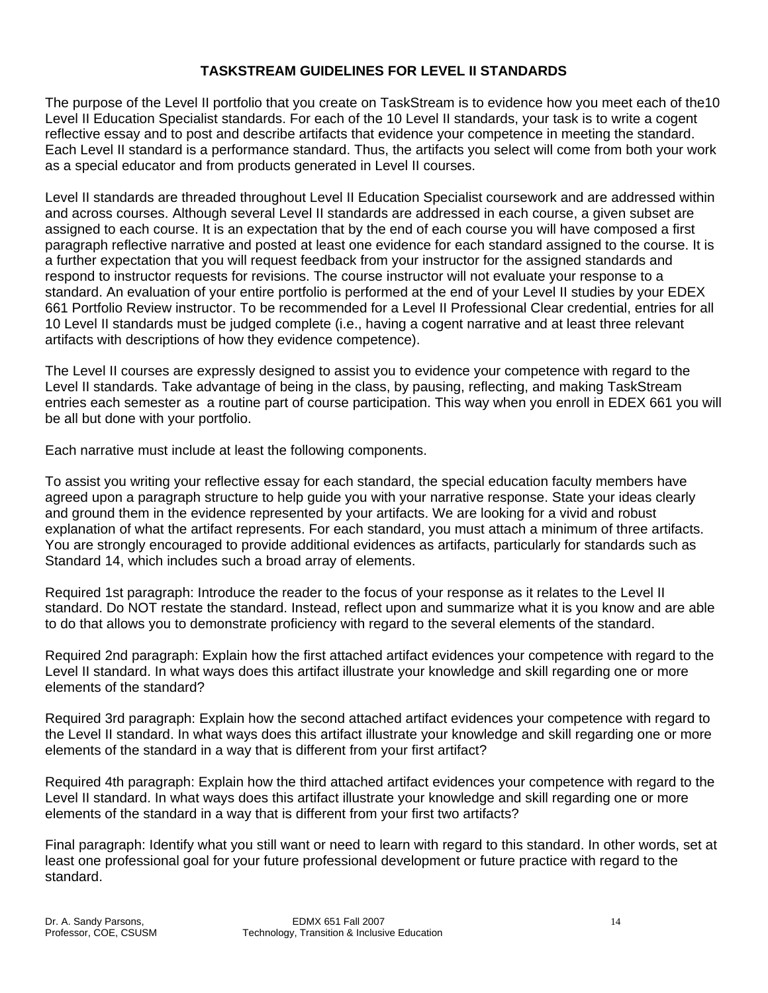# **TASKSTREAM GUIDELINES FOR LEVEL II STANDARDS**

The purpose of the Level II portfolio that you create on TaskStream is to evidence how you meet each of the10 Level II Education Specialist standards. For each of the 10 Level II standards, your task is to write a cogent reflective essay and to post and describe artifacts that evidence your competence in meeting the standard. Each Level II standard is a performance standard. Thus, the artifacts you select will come from both your work as a special educator and from products generated in Level II courses.

Level II standards are threaded throughout Level II Education Specialist coursework and are addressed within and across courses. Although several Level II standards are addressed in each course, a given subset are assigned to each course. It is an expectation that by the end of each course you will have composed a first paragraph reflective narrative and posted at least one evidence for each standard assigned to the course. It is a further expectation that you will request feedback from your instructor for the assigned standards and respond to instructor requests for revisions. The course instructor will not evaluate your response to a standard. An evaluation of your entire portfolio is performed at the end of your Level II studies by your EDEX 661 Portfolio Review instructor. To be recommended for a Level II Professional Clear credential, entries for all 10 Level II standards must be judged complete (i.e., having a cogent narrative and at least three relevant artifacts with descriptions of how they evidence competence).

The Level II courses are expressly designed to assist you to evidence your competence with regard to the Level II standards. Take advantage of being in the class, by pausing, reflecting, and making TaskStream entries each semester as a routine part of course participation. This way when you enroll in EDEX 661 you will be all but done with your portfolio.

Each narrative must include at least the following components.

To assist you writing your reflective essay for each standard, the special education faculty members have agreed upon a paragraph structure to help guide you with your narrative response. State your ideas clearly and ground them in the evidence represented by your artifacts. We are looking for a vivid and robust explanation of what the artifact represents. For each standard, you must attach a minimum of three artifacts. You are strongly encouraged to provide additional evidences as artifacts, particularly for standards such as Standard 14, which includes such a broad array of elements.

Required 1st paragraph: Introduce the reader to the focus of your response as it relates to the Level II standard. Do NOT restate the standard. Instead, reflect upon and summarize what it is you know and are able to do that allows you to demonstrate proficiency with regard to the several elements of the standard.

Required 2nd paragraph: Explain how the first attached artifact evidences your competence with regard to the Level II standard. In what ways does this artifact illustrate your knowledge and skill regarding one or more elements of the standard?

Required 3rd paragraph: Explain how the second attached artifact evidences your competence with regard to the Level II standard. In what ways does this artifact illustrate your knowledge and skill regarding one or more elements of the standard in a way that is different from your first artifact?

Required 4th paragraph: Explain how the third attached artifact evidences your competence with regard to the Level II standard. In what ways does this artifact illustrate your knowledge and skill regarding one or more elements of the standard in a way that is different from your first two artifacts?

Final paragraph: Identify what you still want or need to learn with regard to this standard. In other words, set at least one professional goal for your future professional development or future practice with regard to the standard.